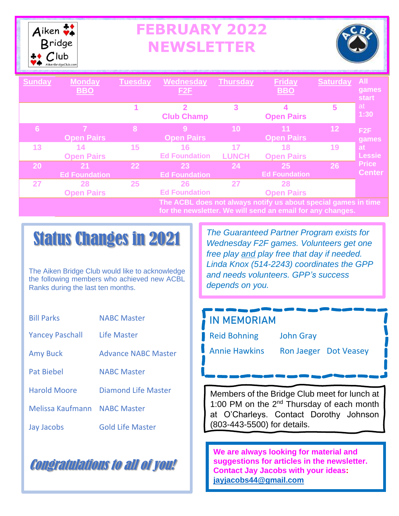

# **FEBRUARY 2022 NEWSLETTER**



| <b>Sunday</b>   | <b>Monday</b><br><b>BBO</b> | <b>Tuesday</b>  | <b>Wednesday</b><br>F <sub>2</sub> F | <b>Thursday</b>    | <b>Friday</b><br><b>BBO</b>                                                                                                  | <b>Saturday</b> | <b>All</b><br>games<br><b>start</b> |
|-----------------|-----------------------------|-----------------|--------------------------------------|--------------------|------------------------------------------------------------------------------------------------------------------------------|-----------------|-------------------------------------|
|                 |                             |                 | $\mathbf{p}$<br><b>Club Champ</b>    | 3                  | 4<br><b>Open Pairs</b>                                                                                                       | 5               | at<br>1:30                          |
| 6 <sup>1</sup>  | 7<br><b>Open Pairs</b>      | 8 <sup>°</sup>  | 9<br><b>Open Pairs</b>               | 10 <sup>°</sup>    | 11<br><b>Open Pairs</b>                                                                                                      | 12              | F2F<br>games                        |
| 13              | 14<br><b>Open Pairs</b>     | 15              | 16<br><b>Ed Foundation</b>           | 17<br><b>LUNCH</b> | 18<br><b>Open Pairs</b>                                                                                                      | 19              | at<br><b>Lessie</b>                 |
| 20 <sub>1</sub> | 21<br><b>Ed Foundation</b>  | 22 <sub>2</sub> | 23<br><b>Ed Foundation</b>           | 24                 | 25<br><b>Ed Foundation</b>                                                                                                   | 26              | <b>Price</b><br><b>Center</b>       |
| 27              | 28<br><b>Open Pairs</b>     | 25              | 26<br><b>Ed Foundation</b>           | 27                 | 28<br><b>Open Pairs</b>                                                                                                      |                 |                                     |
|                 |                             |                 |                                      |                    | The ACBL does not always notify us about special games in time<br>for the newsletter. We will send an email for any changes. |                 |                                     |

# Status Changes in 2021

The Aiken Bridge Club would like to acknowledge the following members who achieved new ACBL Ranks during the last ten months.

| <b>Bill Parks</b>            | <b>NABC Master</b>         |
|------------------------------|----------------------------|
| <b>Yancey Paschall</b>       | Life Master                |
| <b>Amy Buck</b>              | <b>Advance NABC Master</b> |
| <b>Pat Biebel</b>            | <b>NABC Master</b>         |
| <b>Harold Moore</b>          | Diamond Life Master        |
| Melissa Kaufmann NABC Master |                            |
| Jay Jacobs                   | <b>Gold Life Master</b>    |

# Congratulations to all of you!

*The Guaranteed Partner Program exists for Wednesday F2F games. Volunteers get one free play and play free that day if needed. Linda Knox (514-2243) coordinates the GPP and needs volunteers. GPP's success depends on you.*

| IN MEMORIAM         |                       |
|---------------------|-----------------------|
| <b>Reid Bohning</b> | <b>John Gray</b>      |
| Annie Hawkins       | Ron Jaeger Dot Veasey |
|                     |                       |

Members of the Bridge Club meet for lunch at 1:00 PM on the 2<sup>nd</sup> Thursday of each month at O'Charleys. Contact Dorothy Johnson (803-443-5500) for details.

**We are always looking for material and suggestions for articles in the newsletter. Contact Jay Jacobs with your ideas: [jayjacobs44@gmail.com](mailto:jayjacobs44@gmail.com)**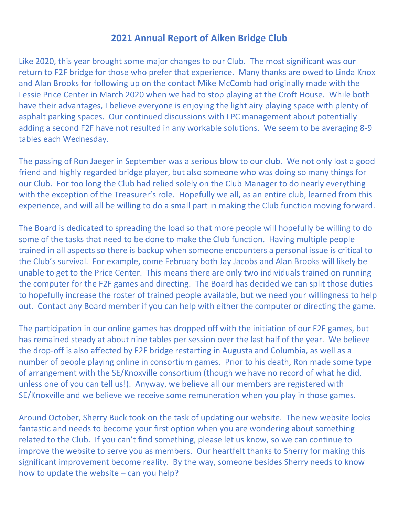## **2021 Annual Report of Aiken Bridge Club**

Like 2020, this year brought some major changes to our Club. The most significant was our return to F2F bridge for those who prefer that experience. Many thanks are owed to Linda Knox and Alan Brooks for following up on the contact Mike McComb had originally made with the Lessie Price Center in March 2020 when we had to stop playing at the Croft House. While both have their advantages, I believe everyone is enjoying the light airy playing space with plenty of asphalt parking spaces. Our continued discussions with LPC management about potentially adding a second F2F have not resulted in any workable solutions. We seem to be averaging 8-9 tables each Wednesday.

The passing of Ron Jaeger in September was a serious blow to our club. We not only lost a good friend and highly regarded bridge player, but also someone who was doing so many things for our Club. For too long the Club had relied solely on the Club Manager to do nearly everything with the exception of the Treasurer's role. Hopefully we all, as an entire club, learned from this experience, and will all be willing to do a small part in making the Club function moving forward.

The Board is dedicated to spreading the load so that more people will hopefully be willing to do some of the tasks that need to be done to make the Club function. Having multiple people trained in all aspects so there is backup when someone encounters a personal issue is critical to the Club's survival. For example, come February both Jay Jacobs and Alan Brooks will likely be unable to get to the Price Center. This means there are only two individuals trained on running the computer for the F2F games and directing. The Board has decided we can split those duties to hopefully increase the roster of trained people available, but we need your willingness to help out. Contact any Board member if you can help with either the computer or directing the game.

The participation in our online games has dropped off with the initiation of our F2F games, but has remained steady at about nine tables per session over the last half of the year. We believe the drop-off is also affected by F2F bridge restarting in Augusta and Columbia, as well as a number of people playing online in consortium games. Prior to his death, Ron made some type of arrangement with the SE/Knoxville consortium (though we have no record of what he did, unless one of you can tell us!). Anyway, we believe all our members are registered with SE/Knoxville and we believe we receive some remuneration when you play in those games.

Around October, Sherry Buck took on the task of updating our website. The new website looks fantastic and needs to become your first option when you are wondering about something related to the Club. If you can't find something, please let us know, so we can continue to improve the website to serve you as members. Our heartfelt thanks to Sherry for making this significant improvement become reality. By the way, someone besides Sherry needs to know how to update the website – can you help?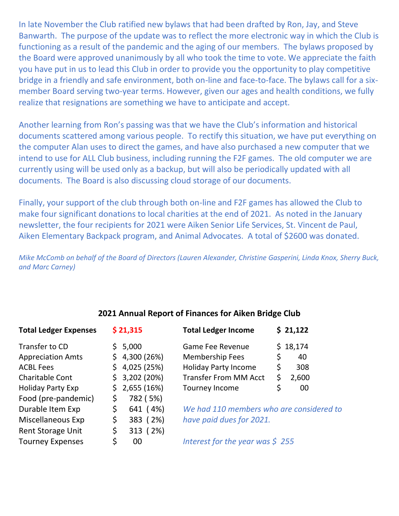In late November the Club ratified new bylaws that had been drafted by Ron, Jay, and Steve Banwarth. The purpose of the update was to reflect the more electronic way in which the Club is functioning as a result of the pandemic and the aging of our members. The bylaws proposed by the Board were approved unanimously by all who took the time to vote. We appreciate the faith you have put in us to lead this Club in order to provide you the opportunity to play competitive bridge in a friendly and safe environment, both on-line and face-to-face. The bylaws call for a sixmember Board serving two-year terms. However, given our ages and health conditions, we fully realize that resignations are something we have to anticipate and accept.

Another learning from Ron's passing was that we have the Club's information and historical documents scattered among various people. To rectify this situation, we have put everything on the computer Alan uses to direct the games, and have also purchased a new computer that we intend to use for ALL Club business, including running the F2F games. The old computer we are currently using will be used only as a backup, but will also be periodically updated with all documents. The Board is also discussing cloud storage of our documents.

Finally, your support of the club through both on-line and F2F games has allowed the Club to make four significant donations to local charities at the end of 2021. As noted in the January newsletter, the four recipients for 2021 were Aiken Senior Life Services, St. Vincent de Paul, Aiken Elementary Backpack program, and Animal Advocates. A total of \$2600 was donated.

*Mike McComb on behalf of the Board of Directors (Lauren Alexander, Christine Gasperini, Linda Knox, Sherry Buck, and Marc Carney)*

| <b>Total Ledger Expenses</b> | \$21,315           | <b>Total Ledger Income</b>               | \$21,122    |
|------------------------------|--------------------|------------------------------------------|-------------|
| Transfer to CD               | 5,000<br>\$.       | Game Fee Revenue                         | \$18,174    |
| <b>Appreciation Amts</b>     | 4,300 (26%)<br>\$. | <b>Membership Fees</b>                   | \$<br>40    |
| <b>ACBL Fees</b>             | 4,025 (25%)        | <b>Holiday Party Income</b>              | \$<br>308   |
| <b>Charitable Cont</b>       | 3,202 (20%)<br>\$. | <b>Transfer From MM Acct</b>             | \$<br>2,600 |
| <b>Holiday Party Exp</b>     | 2,655 (16%)<br>Ś.  | Tourney Income                           | \$<br>00    |
| Food (pre-pandemic)          | 782 (5%)<br>\$     |                                          |             |
| Durable Item Exp             | \$<br>641 (4%)     | We had 110 members who are considered to |             |
| <b>Miscellaneous Exp</b>     | \$<br>383 (2%)     | have paid dues for 2021.                 |             |
| <b>Rent Storage Unit</b>     | \$<br>313 (2%)     |                                          |             |
| <b>Tourney Expenses</b>      | \$<br>00           | Interest for the year was $\zeta$ 255    |             |

#### **2021 Annual Report of Finances for Aiken Bridge Club**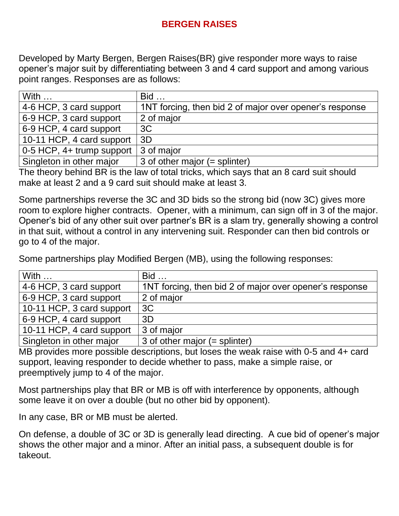# **BERGEN RAISES**

Developed by Marty Bergen, Bergen Raises(BR) give responder more ways to raise opener's major suit by differentiating between 3 and 4 card support and among various point ranges. Responses are as follows:

| With                      | <b>Bid</b>                                              |
|---------------------------|---------------------------------------------------------|
| 4-6 HCP, 3 card support   | 1NT forcing, then bid 2 of major over opener's response |
| 6-9 HCP, 3 card support   | 2 of major                                              |
| 6-9 HCP, 4 card support   | 3C                                                      |
| 10-11 HCP, 4 card support | 3D                                                      |
| 0-5 HCP, 4+ trump support | 3 of major                                              |
| Singleton in other major  | 3 of other major $(=$ splinter)                         |

 $\mid$  Singleton in other major  $\mid$  3 of other major (= splinter) The theory behind BR is the law of total tricks, which says that an 8 card suit should make at least 2 and a 9 card suit should make at least 3.

Some partnerships reverse the 3C and 3D bids so the strong bid (now 3C) gives more room to explore higher contracts. Opener, with a minimum, can sign off in 3 of the major. Opener's bid of any other suit over partner's BR is a slam try, generally showing a control in that suit, without a control in any intervening suit. Responder can then bid controls or go to 4 of the major.

Some partnerships play Modified Bergen (MB), using the following responses:

| With $\ldots$             | <b>Bid</b>                                              |
|---------------------------|---------------------------------------------------------|
| $4-6$ HCP, 3 card support | 1NT forcing, then bid 2 of major over opener's response |
| 6-9 HCP, 3 card support   | 2 of major                                              |
| 10-11 HCP, 3 card support | 3C                                                      |
| 6-9 HCP, 4 card support   | 3D                                                      |
| 10-11 HCP, 4 card support | 3 of major                                              |
| Singlaton in other maior  | 3 of other major (- enlinter)                           |

 $\mid$  Singleton in other major  $\mid$  3 of other major (= splinter)

MB provides more possible descriptions, but loses the weak raise with 0-5 and 4+ card support, leaving responder to decide whether to pass, make a simple raise, or preemptively jump to 4 of the major.

Most partnerships play that BR or MB is off with interference by opponents, although some leave it on over a double (but no other bid by opponent).

In any case, BR or MB must be alerted.

On defense, a double of 3C or 3D is generally lead directing. A cue bid of opener's major shows the other major and a minor. After an initial pass, a subsequent double is for takeout.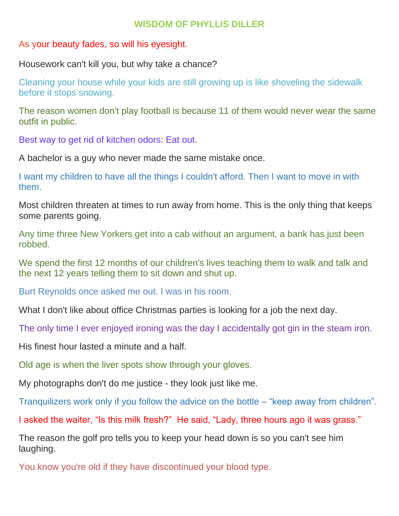#### **WISDOM OF PHYLLIS DILLER**

#### As your beauty fades, so will his eyesight.

Housework can't kill you, but why take a chance?

Cleaning your house while your kids are still growing up is like shoveling the sidewalk before it stops snowing.

The reason women don't play football is because 11 of them would never wear the same outfit in public.

Best way to get rid of kitchen odors: Eat out.

A bachelor is a guy who never made the same mistake once.

I want my children to have all the things I couldn't afford. Then I want to move in with them.

Most children threaten at times to run away from home. This is the only thing that keeps some parents going.

Any time three New Yorkers get into a cab without an argument, a bank has just been robbed.

We spend the first 12 months of our children's lives teaching them to walk and talk and the next 12 years telling them to sit down and shut up.

Burt Reynolds once asked me out. I was in his room.

What I don't like about office Christmas parties is looking for a job the next day.

The only time I ever enjoyed ironing was the day I accidentally got gin in the steam iron.

His finest hour lasted a minute and a half.

Old age is when the liver spots show through your gloves.

My photographs don't do me justice - they look just like me.

Tranquilizers work only if you follow the advice on the bottle – "keep away from children".

I asked the waiter, "Is this milk fresh?" He said, "Lady, three hours ago it was grass."

The reason the golf pro tells you to keep your head down is so you can't see him laughing.

You know you're old if they have discontinued your blood type.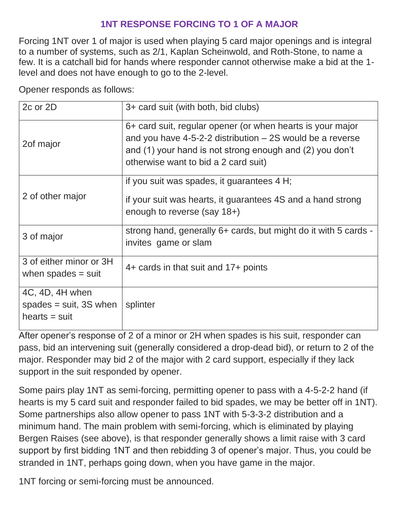# **1NT RESPONSE FORCING TO 1 OF A MAJOR**

Forcing 1NT over 1 of major is used when playing 5 card major openings and is integral to a number of systems, such as 2/1, Kaplan Scheinwold, and Roth-Stone, to name a few. It is a catchall bid for hands where responder cannot otherwise make a bid at the 1 level and does not have enough to go to the 2-level.

Opener responds as follows:

| 2c or 2D                                                       | 3+ card suit (with both, bid clubs)                                                                                                                                                                                            |
|----------------------------------------------------------------|--------------------------------------------------------------------------------------------------------------------------------------------------------------------------------------------------------------------------------|
| 2of major                                                      | 6+ card suit, regular opener (or when hearts is your major<br>and you have $4-5-2-2$ distribution $-2S$ would be a reverse<br>and (1) your hand is not strong enough and (2) you don't<br>otherwise want to bid a 2 card suit) |
| 2 of other major                                               | if you suit was spades, it guarantees 4 H;<br>if your suit was hearts, it guarantees 4S and a hand strong<br>enough to reverse (say 18+)                                                                                       |
| 3 of major                                                     | strong hand, generally 6+ cards, but might do it with 5 cards -<br>invites game or slam                                                                                                                                        |
| 3 of either minor or 3H<br>when spades $=$ suit                | 4+ cards in that suit and 17+ points                                                                                                                                                                                           |
| 4C, 4D, 4H when<br>spades $=$ suit, 3S when<br>$hearts = suit$ | splinter                                                                                                                                                                                                                       |

After opener's response of 2 of a minor or 2H when spades is his suit, responder can pass, bid an intervening suit (generally considered a drop-dead bid), or return to 2 of the major. Responder may bid 2 of the major with 2 card support, especially if they lack support in the suit responded by opener.

Some pairs play 1NT as semi-forcing, permitting opener to pass with a 4-5-2-2 hand (if hearts is my 5 card suit and responder failed to bid spades, we may be better off in 1NT). Some partnerships also allow opener to pass 1NT with 5-3-3-2 distribution and a minimum hand. The main problem with semi-forcing, which is eliminated by playing Bergen Raises (see above), is that responder generally shows a limit raise with 3 card support by first bidding 1NT and then rebidding 3 of opener's major. Thus, you could be stranded in 1NT, perhaps going down, when you have game in the major.

1NT forcing or semi-forcing must be announced.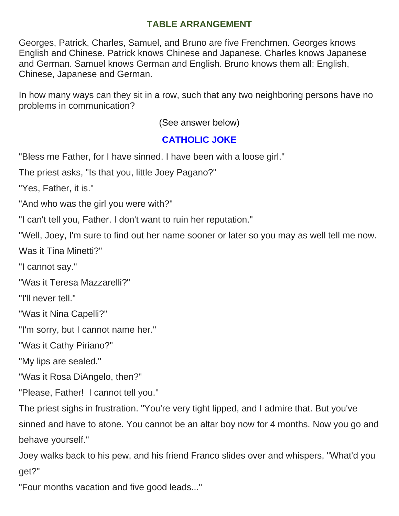# **TABLE ARRANGEMENT**

Georges, Patrick, Charles, Samuel, and Bruno are five Frenchmen. Georges knows English and Chinese. Patrick knows Chinese and Japanese. Charles knows Japanese and German. Samuel knows German and English. Bruno knows them all: English, Chinese, Japanese and German.

In how many ways can they sit in a row, such that any two neighboring persons have no problems in communication?

(See answer below)

## **CATHOLIC JOKE**

"Bless me Father, for I have sinned. I have been with a loose girl."

The priest asks, "Is that you, little Joey Pagano?"

"Yes, Father, it is."

"And who was the girl you were with?"

"I can't tell you, Father. I don't want to ruin her reputation."

"Well, Joey, I'm sure to find out her name sooner or later so you may as well tell me now.

Was it Tina Minetti?"

"I cannot say."

"Was it Teresa Mazzarelli?"

"I'll never tell."

"Was it Nina Capelli?"

"I'm sorry, but I cannot name her."

"Was it Cathy Piriano?"

"My lips are sealed."

"Was it Rosa DiAngelo, then?"

"Please, Father! I cannot tell you."

The priest sighs in frustration. "You're very tight lipped, and I admire that. But you've sinned and have to atone. You cannot be an altar boy now for 4 months. Now you go and behave yourself."

Joey walks back to his pew, and his friend Franco slides over and whispers, "What'd you get?"

"Four months vacation and five good leads..."